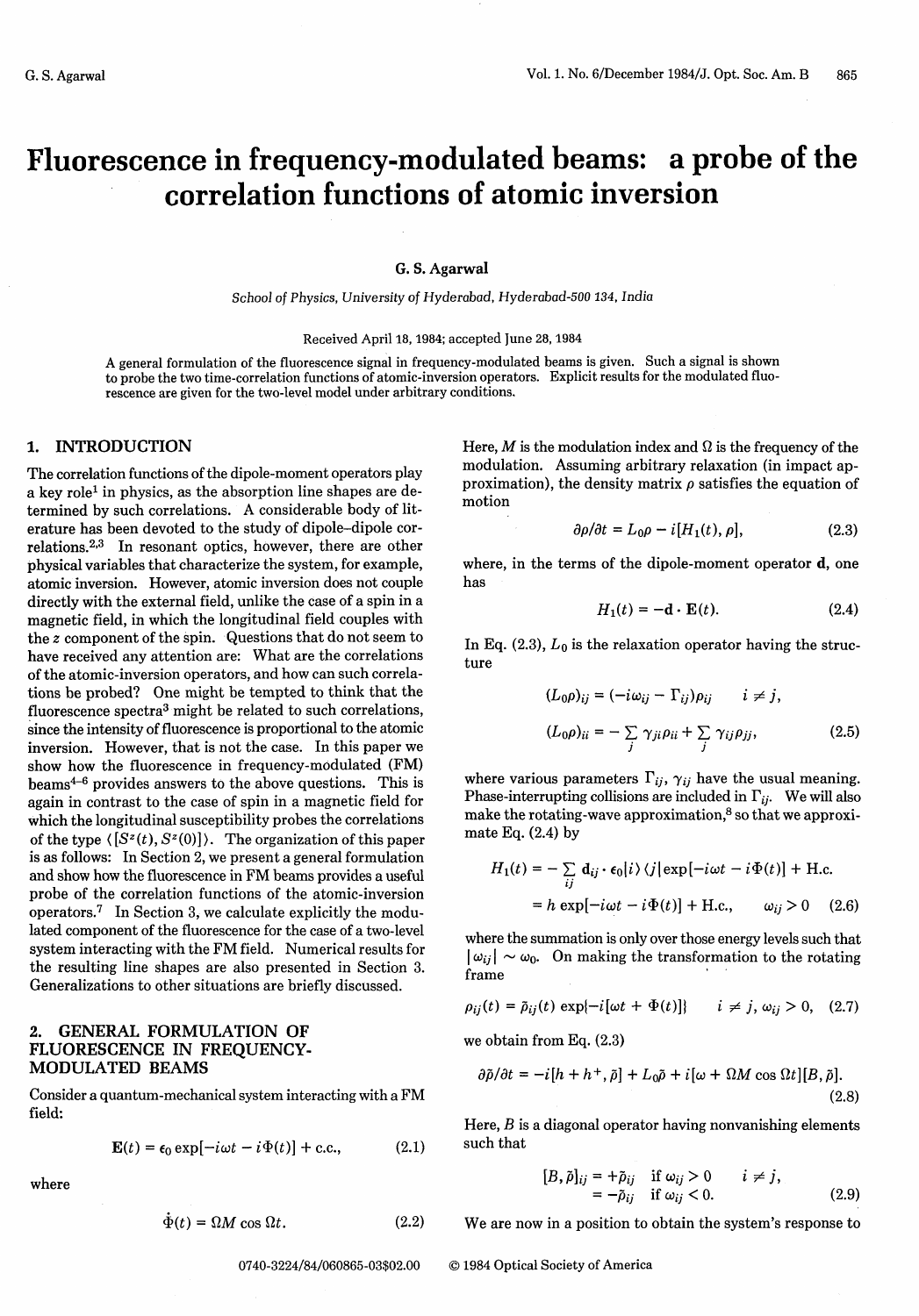# **Fluorescence in frequency-modulated beams: a probe of the correlation functions of atomic inversion**

#### G. **S. Agarwal**

School *of Physics,* University of Hyderabad, *Hyderabad-500 134,* India

Received April 18, 1984; accepted June 28, 1984

A general formulation of the fluorescence signal in frequency-modulated beams is given. Such a signal is shown to probe the two time-correlation functions of atomic-inversion operators. Explicit results for the modulated fluorescence are given for the two-level model under arbitrary conditions.

## 1. INTRODUCTION

The correlation functions of the dipole-moment operators play a key role' in physics, as the absorption line shapes are determined by such correlations. A considerable body of literature has been devoted to the study of dipole-dipole correlations.<sup>2,3</sup> In resonant optics, however, there are other physical variables that characterize the system, for example, atomic inversion. However, atomic inversion does not couple directly with the external field, unlike the case of a spin in a magnetic field, in which the longitudinal field couples with the z component of the spin. Questions that do not seem to have received any attention are: What are the correlations of the atomic-inversion operators, and how can such correlations be probed? One might be tempted to think that the fluorescence spectra<sup>3</sup> might be related to such correlations, since the intensity of fluorescence is proportional to the atomic inversion. However, that is not the case. In this paper we show how the fluorescence in frequency-modulated (FM) beams4-6 provides answers to the above questions. This is again in contrast to the case of spin in a magnetic field for which the longitudinal susceptibility probes the correlations of the type  $\langle [S^z(t), S^z(0)] \rangle$ . The organization of this paper is as follows: In Section 2, we present a general formulation and show how the fluorescence in FM beams provides a useful probe of the correlation functions of the atomic-inversion operators.<sup>7</sup> In Section 3, we calculate explicitly the modulated component of the fluorescence for the case of a two-level system interacting with the FM field. Numerical results for the resulting line shapes are also presented in Section 3. Generalizations to other situations are briefly discussed.

### **2.** GENERAL FORMULATION OF FLUORESCENCE IN FREQUENCY-MODULATED BEAMS

Consider a quantum-mechanical system interacting with a FM field:

$$
\mathbf{E}(t) = \epsilon_0 \exp[-i\omega t - i\Phi(t)] + \text{c.c.}, \quad (2.1)
$$

where

$$
\dot{\Phi}(t) = \Omega M \cos \Omega t. \tag{2.2}
$$

Here,  $M$  is the modulation index and  $\Omega$  is the frequency of the modulation. Assuming arbitrary relaxation (in impact approximation), the density matrix  $\rho$  satisfies the equation of motion

$$
\partial \rho / \partial t = L_0 \rho - i [H_1(t), \rho], \qquad (2.3)
$$

where, in the terms of the dipole-moment operator d, one has

$$
H_1(t) = -\mathbf{d} \cdot \mathbf{E}(t). \tag{2.4}
$$

In Eq.  $(2.3)$ ,  $L_0$  is the relaxation operator having the structure

$$
(L_0 \rho)_{ij} = (-i\omega_{ij} - \Gamma_{ij})\rho_{ij} \qquad i \neq j,
$$
  

$$
(L_0 \rho)_{ii} = -\sum_j \gamma_{ji} \rho_{ii} + \sum_j \gamma_{ij} \rho_{jj},
$$
 (2.5)

where various parameters  $\Gamma_{ij}$ ,  $\gamma_{ij}$  have the usual meaning. Phase-interrupting collisions are included in  $\Gamma_{ii}$ . We will also make the rotating-wave approximation, $8$  so that we approximate Eq.  $(2.4)$  by

$$
H_1(t) = -\sum_{ij} \mathbf{d}_{ij} \cdot \mathbf{\epsilon}_0 |i\rangle \langle j| \exp[-i\omega t - i\Phi(t)] + \text{H.c.}
$$
  
=  $h \exp[-i\omega t - i\Phi(t)] + \text{H.c.}, \qquad \omega_{ij} > 0 \quad (2.6)$ 

where the summation is only over those energy levels such that  $|\omega_{ij}| \sim \omega_0$ . On making the transformation to the rotating frame

$$
\rho_{ij}(t) = \tilde{\rho}_{ij}(t) \exp\{-i[\omega t + \Phi(t)]\} \qquad i \neq j, \omega_{ij} > 0, \quad (2.7)
$$

we obtain from Eq. (2.3)

$$
\frac{\partial \tilde{\rho}}{\partial t} = -i[h + h^+, \tilde{\rho}] + L_0 \tilde{\rho} + i[\omega + \Omega M \cos \Omega t][B, \tilde{\rho}].
$$
\n(2.8)

Here, *B* is a diagonal operator having nonvanishing elements such that

$$
[B,\tilde{\rho}]_{ij} = +\tilde{\rho}_{ij} \quad \text{if } \omega_{ij} > 0 \qquad i \neq j, = -\tilde{\rho}_{ij} \quad \text{if } \omega_{ij} < 0. \tag{2.9}
$$

We are now in a position to obtain the system's response to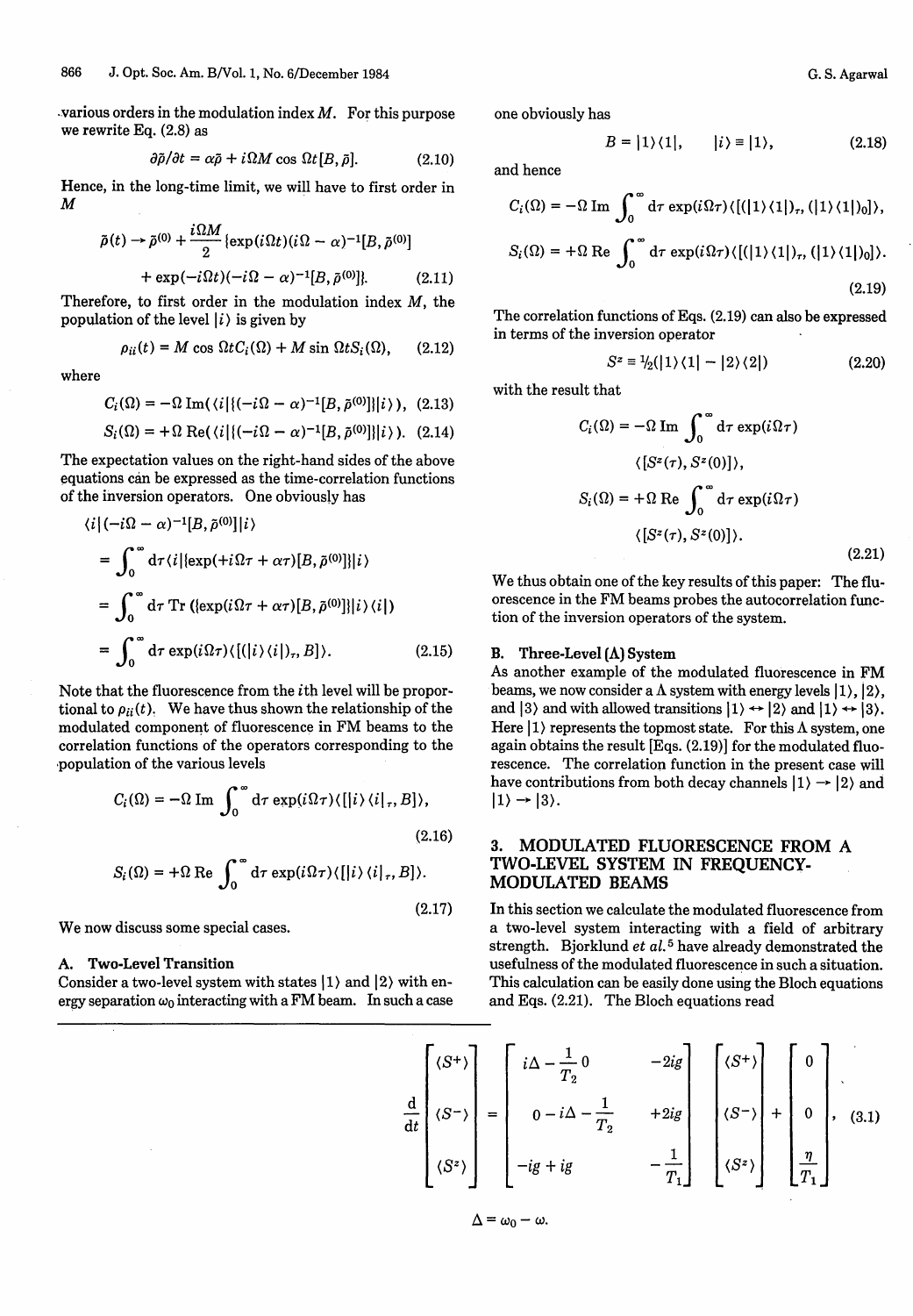various orders in the modulation index  $M$ . For this purpose we rewrite Eq. (2.8) as

$$
\frac{\partial \tilde{\rho}}{\partial t} = \alpha \tilde{\rho} + i \Omega M \cos \Omega t [B, \tilde{\rho}]. \tag{2.10}
$$

Hence, in the long-time limit, we will have to first order in M

$$
\tilde{\rho}(t) \rightarrow \tilde{\rho}^{(0)} + \frac{i\Omega M}{2} \{ \exp(i\Omega t)(i\Omega - \alpha)^{-1}[B, \tilde{\rho}^{(0)}] + \exp(-i\Omega t)(-i\Omega - \alpha)^{-1}[B, \tilde{\rho}^{(0)}] \}.
$$
 (2.11)

Therefore, to first order in the modulation index  $M$ , the population of the level  $|i\rangle$  is given by

$$
\rho_{ii}(t) = M \cos \Omega t C_i(\Omega) + M \sin \Omega t S_i(\Omega), \qquad (2.12)
$$

where

$$
C_i(\Omega) = -\Omega \operatorname{Im}(\langle i | \{ (-i\Omega - \alpha)^{-1}[B, \tilde{\rho}^{(0)}] \} | i \rangle), (2.13)
$$

$$
S_i(\Omega) = +\Omega \text{ Re}(\langle i | \{ (-i\Omega - \alpha)^{-1}[B, \tilde{\rho}^{(0)}] \} | i \rangle ). \quad (2.14)
$$

The expectation values on the right-hand sides of the above equations can be expressed as the time-correlation functions of the inversion operators. One obviously has

$$
\langle i|(-i\Omega - \alpha)^{-1}[B, \tilde{\rho}^{(0)}]|i\rangle
$$
  
= 
$$
\int_0^\infty d\tau \langle i| \{ \exp(i\Omega \tau + \alpha \tau) [B, \tilde{\rho}^{(0)}] \} |i\rangle
$$
  
= 
$$
\int_0^\infty d\tau \operatorname{Tr} \langle \{ \exp(i\Omega \tau + \alpha \tau) [B, \tilde{\rho}^{(0)}] \} |i\rangle \langle i| \rangle
$$
  
= 
$$
\int_0^\infty d\tau \exp(i\Omega \tau) \langle [(|i\rangle \langle i|), B] \rangle.
$$
 (2.15)

Note that the fluorescence from the ith level will be proportional to  $\rho_{ii}(t)$ . We have thus shown the relationship of the modulated component of fluorescence in FM beams to the correlation functions of the operators corresponding to the population of the various levels

$$
C_i(\Omega) = -\Omega \operatorname{Im} \int_0^\infty d\tau \exp(i\Omega \tau) \langle [[i\rangle \langle i|_\tau, B] \rangle,
$$
  
(2.16)  

$$
S_i(\Omega) = +\Omega \operatorname{Re} \int_0^\infty d\tau \exp(i\Omega \tau) \langle [[i\rangle \langle i|_\tau, B] \rangle.
$$

We now discuss some special cases.

#### **A. Two-Level Transition**

Consider a two-level system with states  $|1\rangle$  and  $|2\rangle$  with energy separation  $\omega_0$  interacting with a FM beam. In such a case one obviously has

$$
B = |1\rangle\langle 1|, \qquad |i\rangle \equiv |1\rangle, \tag{2.18}
$$

and hence

$$
C_i(\Omega) = -\Omega \operatorname{Im} \int_0^\infty d\tau \exp(i\Omega \tau) \langle [(\vert 1\rangle \langle 1 \vert)_\tau, (\vert 1\rangle \langle 1 \vert)_0] \rangle,
$$
  

$$
S_i(\Omega) = +\Omega \operatorname{Re} \int_0^\infty d\tau \exp(i\Omega \tau) \langle [(\vert 1\rangle \langle 1 \vert)_\tau, (\vert 1\rangle \langle 1 \vert)_0] \rangle.
$$
(2.19)

The correlation functions of Eqs. (2.19) can also be expressed in terms of the inversion operator

$$
S^z \equiv \frac{1}{2}(|1\rangle\langle 1| - |2\rangle\langle 2|) \tag{2.20}
$$

with the result that

$$
C_i(\Omega) = -\Omega \operatorname{Im} \int_0^{\infty} d\tau \exp(i\Omega \tau)
$$

$$
\langle [S^z(\tau), S^z(0)] \rangle,
$$

$$
S_i(\Omega) = +\Omega \operatorname{Re} \int_0^{\infty} d\tau \exp(i\Omega \tau)
$$

$$
\langle [S^z(\tau), S^z(0)] \rangle.
$$
(2.21)

We thus obtain one of the key results of this paper: The fluorescence in the FM beams probes the autocorrelation function of the inversion operators of the system.

#### **B. Three-Level** (A) **System**

As another example of the modulated fluorescence in FM beams, we now consider a  $\Lambda$  system with energy levels  $|1\rangle, |2\rangle,$ and  $|3\rangle$  and with allowed transitions  $|1\rangle \leftrightarrow |2\rangle$  and  $|1\rangle \leftrightarrow |3\rangle$ . Here  $|1\rangle$  represents the topmost state. For this  $\Lambda$  system, one again obtains the result [Eqs. (2.19)] for the modulated fluorescence. The correlation function in the present case will have contributions from both decay channels  $|1\rangle \rightarrow |2\rangle$  and  $|1\rangle \rightarrow |3\rangle$ .

## **3.** MODULATED **FLUORESCENCE FROM** A TWO-LEVEL **SYSTEM IN FREQUENCY-MODULATED BEAMS**

In this section we calculate the modulated fluorescence from a two-level system interacting with a field of arbitrary strength. Bjorklund *et al.<sup>5</sup>* have already demonstrated the usefulness of the modulated fluorescence in such a situation. This calculation can be easily done using the Bloch equations and Eqs. (2.21). The Bloch equations read

$$
\frac{d}{dt} \begin{bmatrix} \langle S^+ \rangle \\ \langle S^- \rangle \\ \langle S^z \rangle \end{bmatrix} = \begin{bmatrix} i\Delta - \frac{1}{T_2} & 0 & -2ig \\ 0 - i\Delta - \frac{1}{T_2} & +2ig \\ -ig + ig & -\frac{1}{T_1} \end{bmatrix} \begin{bmatrix} \langle S^+ \rangle \\ \langle S^- \rangle \\ \langle S^z \rangle \end{bmatrix} + \begin{bmatrix} 0 \\ 0 \\ \frac{\eta}{T_1} \end{bmatrix}, \quad (3.1)
$$

$$
\Delta=\omega_0-\omega.
$$

 $(2.17)$